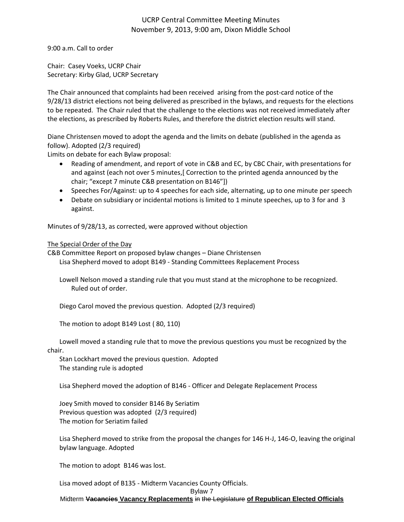## UCRP Central Committee Meeting Minutes November 9, 2013, 9:00 am, Dixon Middle School

9:00 a.m. Call to order

Chair: Casey Voeks, UCRP Chair Secretary: Kirby Glad, UCRP Secretary

The Chair announced that complaints had been received arising from the post-card notice of the 9/28/13 district elections not being delivered as prescribed in the bylaws, and requests for the elections to be repeated. The Chair ruled that the challenge to the elections was not received immediately after the elections, as prescribed by Roberts Rules, and therefore the district election results will stand.

Diane Christensen moved to adopt the agenda and the limits on debate (published in the agenda as follow). Adopted (2/3 required)

Limits on debate for each Bylaw proposal:

- Reading of amendment, and report of vote in C&B and EC, by CBC Chair, with presentations for and against (each not over 5 minutes,[ Correction to the printed agenda announced by the chair; "except 7 minute C&B presentation on B146"])
- Speeches For/Against: up to 4 speeches for each side, alternating, up to one minute per speech
- Debate on subsidiary or incidental motions is limited to 1 minute speeches, up to 3 for and 3 against.

Minutes of 9/28/13, as corrected, were approved without objection

## The Special Order of the Day

C&B Committee Report on proposed bylaw changes – Diane Christensen Lisa Shepherd moved to adopt B149 - Standing Committees Replacement Process

Lowell Nelson moved a standing rule that you must stand at the microphone to be recognized. Ruled out of order.

Diego Carol moved the previous question. Adopted (2/3 required)

The motion to adopt B149 Lost ( 80, 110)

Lowell moved a standing rule that to move the previous questions you must be recognized by the chair.

Stan Lockhart moved the previous question. Adopted The standing rule is adopted

Lisa Shepherd moved the adoption of B146 - Officer and Delegate Replacement Process

Joey Smith moved to consider B146 By Seriatim Previous question was adopted (2/3 required) The motion for Seriatim failed

Lisa Shepherd moved to strike from the proposal the changes for 146 H-J, 146-O, leaving the original bylaw language. Adopted

The motion to adopt B146 was lost.

Lisa moved adopt of B135 - Midterm Vacancies County Officials.

Bylaw 7

Midterm **Vacancies Vacancy Replacements** in the Legislature **of Republican Elected Officials**